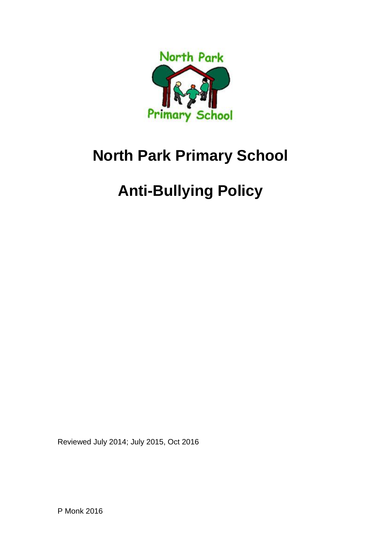

## **North Park Primary School**

# **Anti-Bullying Policy**

Reviewed July 2014; July 2015, Oct 2016

P Monk 2016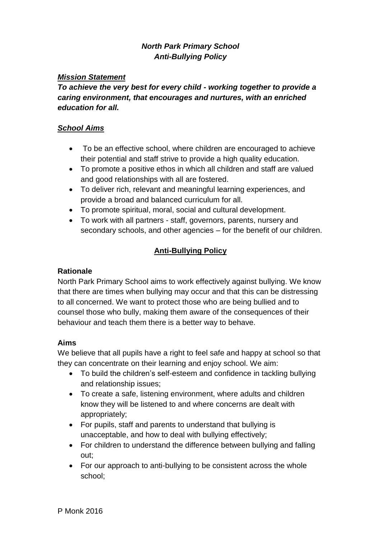### *North Park Primary School Anti-Bullying Policy*

#### *Mission Statement*

*To achieve the very best for every child - working together to provide a caring environment, that encourages and nurtures, with an enriched education for all.* 

#### *School Aims*

- To be an effective school, where children are encouraged to achieve their potential and staff strive to provide a high quality education.
- To promote a positive ethos in which all children and staff are valued and good relationships with all are fostered.
- To deliver rich, relevant and meaningful learning experiences, and provide a broad and balanced curriculum for all.
- To promote spiritual, moral, social and cultural development.
- To work with all partners staff, governors, parents, nursery and secondary schools, and other agencies – for the benefit of our children.

#### **Anti-Bullying Policy**

#### **Rationale**

North Park Primary School aims to work effectively against bullying. We know that there are times when bullying may occur and that this can be distressing to all concerned. We want to protect those who are being bullied and to counsel those who bully, making them aware of the consequences of their behaviour and teach them there is a better way to behave.

#### **Aims**

We believe that all pupils have a right to feel safe and happy at school so that they can concentrate on their learning and enjoy school. We aim:

- To build the children's self-esteem and confidence in tackling bullying and relationship issues;
- To create a safe, listening environment, where adults and children know they will be listened to and where concerns are dealt with appropriately;
- For pupils, staff and parents to understand that bullying is unacceptable, and how to deal with bullying effectively;
- For children to understand the difference between bullying and falling out;
- For our approach to anti-bullying to be consistent across the whole school;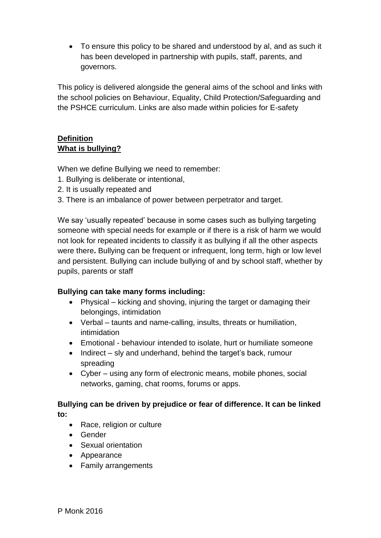To ensure this policy to be shared and understood by al, and as such it has been developed in partnership with pupils, staff, parents, and governors.

This policy is delivered alongside the general aims of the school and links with the school policies on Behaviour, Equality, Child Protection/Safeguarding and the PSHCE curriculum. Links are also made within policies for E-safety

### **Definition What is bullying?**

When we define Bullying we need to remember:

- 1. Bullying is deliberate or intentional,
- 2. It is usually repeated and
- 3. There is an imbalance of power between perpetrator and target.

We say 'usually repeated' because in some cases such as bullying targeting someone with special needs for example or if there is a risk of harm we would not look for repeated incidents to classify it as bullying if all the other aspects were there**.** Bullying can be frequent or infrequent, long term, high or low level and persistent. Bullying can include bullying of and by school staff, whether by pupils, parents or staff

#### **Bullying can take many forms including:**

- Physical kicking and shoving, injuring the target or damaging their belongings, intimidation
- Verbal taunts and name-calling, insults, threats or humiliation, intimidation
- Emotional behaviour intended to isolate, hurt or humiliate someone
- $\bullet$  Indirect sly and underhand, behind the target's back, rumour spreading
- Cyber using any form of electronic means, mobile phones, social networks, gaming, chat rooms, forums or apps.

### **Bullying can be driven by prejudice or fear of difference. It can be linked**

**to:**

- Race, religion or culture
- Gender
- Sexual orientation
- Appearance
- Family arrangements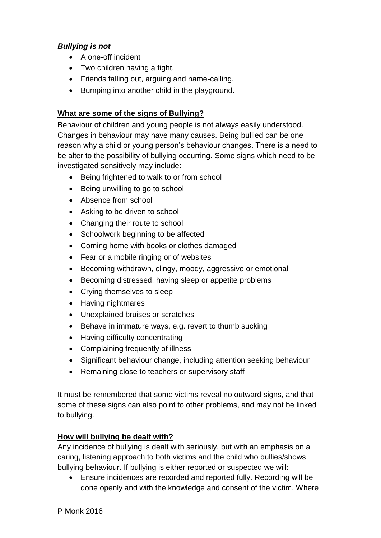#### *Bullying is not*

- A one-off incident
- Two children having a fight.
- Friends falling out, arguing and name-calling.
- Bumping into another child in the playground.

#### **What are some of the signs of Bullying?**

Behaviour of children and young people is not always easily understood. Changes in behaviour may have many causes. Being bullied can be one reason why a child or young person's behaviour changes. There is a need to be alter to the possibility of bullying occurring. Some signs which need to be investigated sensitively may include:

- Being frightened to walk to or from school
- Being unwilling to go to school
- Absence from school
- Asking to be driven to school
- Changing their route to school
- Schoolwork beginning to be affected
- Coming home with books or clothes damaged
- Fear or a mobile ringing or of websites
- Becoming withdrawn, clingy, moody, aggressive or emotional
- Becoming distressed, having sleep or appetite problems
- Crying themselves to sleep
- Having nightmares
- Unexplained bruises or scratches
- Behave in immature ways, e.g. revert to thumb sucking
- Having difficulty concentrating
- Complaining frequently of illness
- Significant behaviour change, including attention seeking behaviour
- Remaining close to teachers or supervisory staff

It must be remembered that some victims reveal no outward signs, and that some of these signs can also point to other problems, and may not be linked to bullying.

#### **How will bullying be dealt with?**

Any incidence of bullying is dealt with seriously, but with an emphasis on a caring, listening approach to both victims and the child who bullies/shows bullying behaviour. If bullying is either reported or suspected we will:

 Ensure incidences are recorded and reported fully. Recording will be done openly and with the knowledge and consent of the victim. Where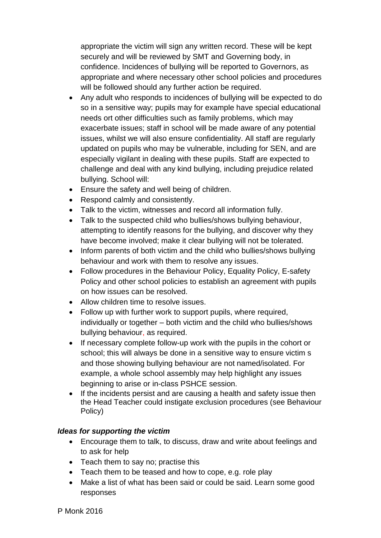appropriate the victim will sign any written record. These will be kept securely and will be reviewed by SMT and Governing body, in confidence. Incidences of bullying will be reported to Governors, as appropriate and where necessary other school policies and procedures will be followed should any further action be required.

- Any adult who responds to incidences of bullying will be expected to do so in a sensitive way; pupils may for example have special educational needs ort other difficulties such as family problems, which may exacerbate issues; staff in school will be made aware of any potential issues, whilst we will also ensure confidentiality. All staff are regularly updated on pupils who may be vulnerable, including for SEN, and are especially vigilant in dealing with these pupils. Staff are expected to challenge and deal with any kind bullying, including prejudice related bullying. School will:
- Ensure the safety and well being of children.
- Respond calmly and consistently.
- Talk to the victim, witnesses and record all information fully.
- Talk to the suspected child who bullies/shows bullying behaviour, attempting to identify reasons for the bullying, and discover why they have become involved; make it clear bullying will not be tolerated.
- Inform parents of both victim and the child who bullies/shows bullying behaviour and work with them to resolve any issues.
- Follow procedures in the Behaviour Policy, Equality Policy, E-safety Policy and other school policies to establish an agreement with pupils on how issues can be resolved.
- Allow children time to resolve issues.
- Follow up with further work to support pupils, where required, individually or together – both victim and the child who bullies/shows bullying behaviour, as required.
- If necessary complete follow-up work with the pupils in the cohort or school; this will always be done in a sensitive way to ensure victim s and those showing bullying behaviour are not named/isolated. For example, a whole school assembly may help highlight any issues beginning to arise or in-class PSHCE session.
- If the incidents persist and are causing a health and safety issue then the Head Teacher could instigate exclusion procedures (see Behaviour Policy)

#### *Ideas for supporting the victim*

- Encourage them to talk, to discuss, draw and write about feelings and to ask for help
- Teach them to say no; practise this
- Teach them to be teased and how to cope, e.g. role play
- Make a list of what has been said or could be said. Learn some good responses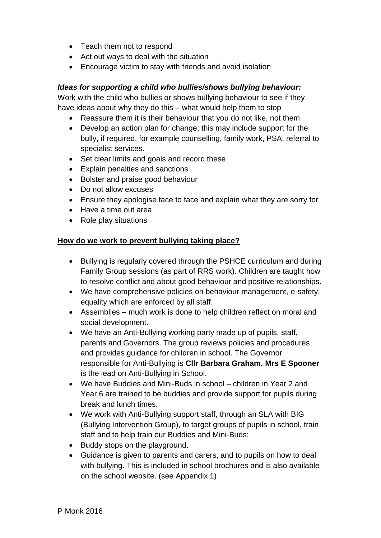- Teach them not to respond
- Act out ways to deal with the situation
- Encourage victim to stay with friends and avoid isolation

#### *Ideas for supporting a child who bullies/shows bullying behaviour:*

Work with the child who bullies or shows bullying behaviour to see if they have ideas about why they do this – what would help them to stop

- Reassure them it is their behaviour that you do not like, not them
- Develop an action plan for change; this may include support for the bully, if required, for example counselling, family work, PSA, referral to specialist services.
- Set clear limits and goals and record these
- Explain penalties and sanctions
- Bolster and praise good behaviour
- Do not allow excuses
- Ensure they apologise face to face and explain what they are sorry for
- Have a time out area
- Role play situations

#### **How do we work to prevent bullying taking place?**

- Bullying is regularly covered through the PSHCE curriculum and during Family Group sessions (as part of RRS work). Children are taught how to resolve conflict and about good behaviour and positive relationships.
- We have comprehensive policies on behaviour management, e-safety, equality which are enforced by all staff.
- Assemblies much work is done to help children reflect on moral and social development.
- We have an Anti-Bullying working party made up of pupils, staff, parents and Governors. The group reviews policies and procedures and provides guidance for children in school. The Governor responsible for Anti-Bullying is **Cllr Barbara Graham. Mrs E Spooner**  is the lead on Anti-Bullying in School.
- We have Buddies and Mini-Buds in school children in Year 2 and Year 6 are trained to be buddies and provide support for pupils during break and lunch times.
- We work with Anti-Bullying support staff, through an SLA with BIG (Bullying Intervention Group), to target groups of pupils in school, train staff and to help train our Buddies and Mini-Buds;
- Buddy stops on the playground.
- Guidance is given to parents and carers, and to pupils on how to deal with bullying. This is included in school brochures and is also available on the school website. (see Appendix 1)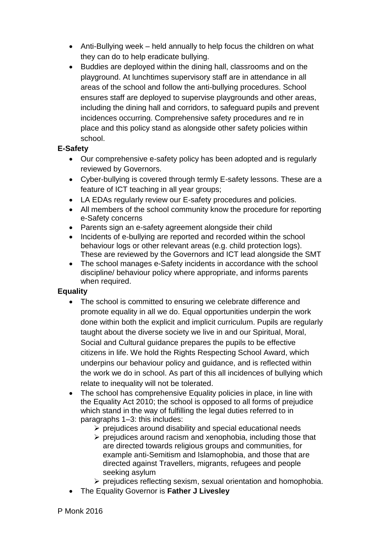- Anti-Bullying week held annually to help focus the children on what they can do to help eradicate bullying.
- Buddies are deployed within the dining hall, classrooms and on the playground. At lunchtimes supervisory staff are in attendance in all areas of the school and follow the anti-bullying procedures. School ensures staff are deployed to supervise playgrounds and other areas, including the dining hall and corridors, to safeguard pupils and prevent incidences occurring. Comprehensive safety procedures and re in place and this policy stand as alongside other safety policies within school.

#### **E-Safety**

- Our comprehensive e-safety policy has been adopted and is regularly reviewed by Governors.
- Cyber-bullying is covered through termly E-safety lessons. These are a feature of ICT teaching in all year groups;
- LA EDAs regularly review our E-safety procedures and policies.
- All members of the school community know the procedure for reporting e-Safety concerns
- Parents sign an e-safety agreement alongside their child
- Incidents of e-bullying are reported and recorded within the school behaviour logs or other relevant areas (e.g. child protection logs). These are reviewed by the Governors and ICT lead alongside the SMT
- The school manages e-Safety incidents in accordance with the school discipline/ behaviour policy where appropriate, and informs parents when required.

#### **Equality**

- The school is committed to ensuring we celebrate difference and promote equality in all we do. Equal opportunities underpin the work done within both the explicit and implicit curriculum. Pupils are regularly taught about the diverse society we live in and our Spiritual, Moral, Social and Cultural guidance prepares the pupils to be effective citizens in life. We hold the Rights Respecting School Award, which underpins our behaviour policy and guidance, and is reflected within the work we do in school. As part of this all incidences of bullying which relate to inequality will not be tolerated.
- The school has comprehensive Equality policies in place, in line with the Equality Act 2010; the school is opposed to all forms of prejudice which stand in the way of fulfilling the legal duties referred to in paragraphs 1–3: this includes:
	- $\triangleright$  prejudices around disability and special educational needs
	- $\triangleright$  prejudices around racism and xenophobia, including those that are directed towards religious groups and communities, for example anti-Semitism and Islamophobia, and those that are directed against Travellers, migrants, refugees and people seeking asylum
	- $\triangleright$  prejudices reflecting sexism, sexual orientation and homophobia.
- The Equality Governor is **Father J Livesley**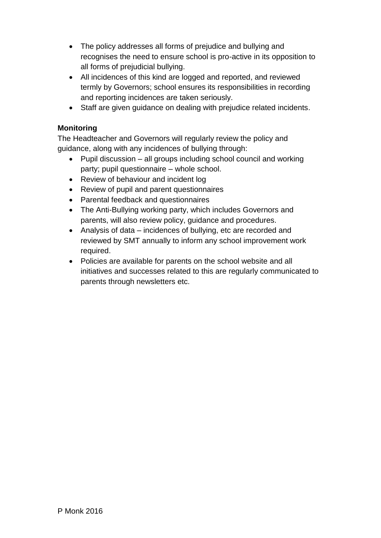- The policy addresses all forms of prejudice and bullying and recognises the need to ensure school is pro-active in its opposition to all forms of prejudicial bullying.
- All incidences of this kind are logged and reported, and reviewed termly by Governors; school ensures its responsibilities in recording and reporting incidences are taken seriously.
- Staff are given guidance on dealing with prejudice related incidents.

#### **Monitoring**

The Headteacher and Governors will regularly review the policy and guidance, along with any incidences of bullying through:

- Pupil discussion all groups including school council and working party; pupil questionnaire – whole school.
- Review of behaviour and incident log
- Review of pupil and parent questionnaires
- Parental feedback and questionnaires
- The Anti-Bullying working party, which includes Governors and parents, will also review policy, guidance and procedures.
- Analysis of data incidences of bullying, etc are recorded and reviewed by SMT annually to inform any school improvement work required.
- Policies are available for parents on the school website and all initiatives and successes related to this are regularly communicated to parents through newsletters etc.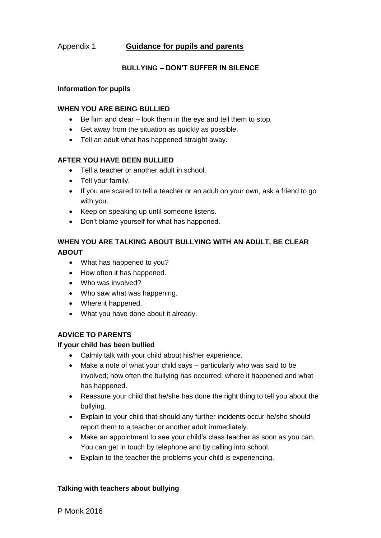#### Appendix 1 **Guidance for pupils and parents**

#### **BULLYING – DON'T SUFFER IN SILENCE**

#### **Information for pupils**

#### **WHEN YOU ARE BEING BULLIED**

- Be firm and clear look them in the eye and tell them to stop.
- Get away from the situation as quickly as possible.
- Tell an adult what has happened straight away.

#### **AFTER YOU HAVE BEEN BULLIED**

- Tell a teacher or another adult in school.
- Tell your family.
- If you are scared to tell a teacher or an adult on your own, ask a friend to go with you.
- Keep on speaking up until someone listens.
- Don't blame yourself for what has happened.

#### **WHEN YOU ARE TALKING ABOUT BULLYING WITH AN ADULT, BE CLEAR ABOUT**

- What has happened to you?
- How often it has happened.
- Who was involved?
- Who saw what was happening.
- Where it happened.
- What you have done about it already.

#### **ADVICE TO PARENTS**

#### **If your child has been bullied**

- Calmly talk with your child about his/her experience.
- Make a note of what your child says particularly who was said to be involved; how often the bullying has occurred; where it happened and what has happened.
- Reassure your child that he/she has done the right thing to tell you about the bullying.
- Explain to your child that should any further incidents occur he/she should report them to a teacher or another adult immediately.
- Make an appointment to see your child's class teacher as soon as you can. You can get in touch by telephone and by calling into school.
- Explain to the teacher the problems your child is experiencing.

#### **Talking with teachers about bullying**

P Monk 2016